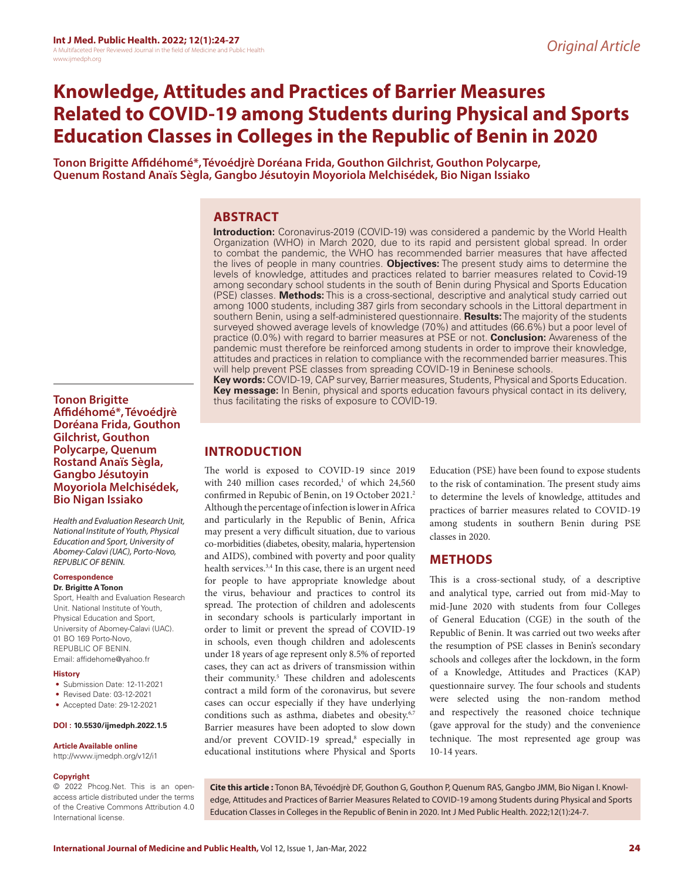# **Knowledge, Attitudes and Practices of Barrier Measures Related to COVID-19 among Students during Physical and Sports Education Classes in Colleges in the Republic of Benin in 2020**

**Tonon Brigitte Affidéhomé\*,Tévoédjrè Doréana Frida, Gouthon Gilchrist, Gouthon Polycarpe, Quenum Rostand Anaïs Sègla, Gangbo Jésutoyin Moyoriola Melchisédek, Bio Nigan Issiako**

# **ABSTRACT**

**Introduction:** Coronavirus-2019 (COVID-19) was considered a pandemic by the World Health Organization (WHO) in March 2020, due to its rapid and persistent global spread. In order to combat the pandemic, the WHO has recommended barrier measures that have affected the lives of people in many countries. **Objectives:** The present study aims to determine the levels of knowledge, attitudes and practices related to barrier measures related to Covid-19 among secondary school students in the south of Benin during Physical and Sports Education (PSE) classes. **Methods:** This is a cross-sectional, descriptive and analytical study carried out among 1000 students, including 387 girls from secondary schools in the Littoral department in southern Benin, using a self-administered questionnaire. **Results:** The majority of the students surveyed showed average levels of knowledge (70%) and attitudes (66.6%) but a poor level of practice (0.0%) with regard to barrier measures at PSE or not. **Conclusion:** Awareness of the pandemic must therefore be reinforced among students in order to improve their knowledge, attitudes and practices in relation to compliance with the recommended barrier measures. This will help prevent PSE classes from spreading COVID-19 in Beninese schools.

**Key words:** COVID-19, CAP survey, Barrier measures, Students, Physical and Sports Education. **Key message:** In Benin, physical and sports education favours physical contact in its delivery, thus facilitating the risks of exposure to COVID-19.

## **Affidéhomé\*,Tévoédjrè Doréana Frida, Gouthon Gilchrist, Gouthon Polycarpe, Quenum Rostand Anaïs Sègla, Gangbo Jésutoyin Moyoriola Melchisédek, Bio Nigan Issiako**

*Health and Evaluation Research Unit, National Institute of Youth, Physical Education and Sport, University of Abomey-Calavi (UAC), Porto-Novo, REPUBLIC OF BENIN.*

## **Correspondence**

**Tonon Brigitte** 

**Dr. Brigitte A Tonon** Sport, Health and Evaluation Research Unit. National Institute of Youth, Physical Education and Sport,

University of Abomey-Calavi (UAC). 01 BO 169 Porto-Novo, REPUBLIC OF BENIN. Email: affidehome@yahoo.fr

#### **History**

- Submission Date: 12-11-2021
- Revised Date: 03-12-2021
- Accepted Date: 29-12-2021

## **DOI : 10.5530/ijmedph.2022.1.5**

#### **Article Available online**

http://www.ijmedph.org/v12/i1

#### **Copyright**

© 2022 Phcog.Net. This is an openaccess article distributed under the terms of the Creative Commons Attribution 4.0 International license.

# **INTRODUCTION**

The world is exposed to COVID-19 since 2019 with 240 million cases recorded, $1$  of which 24,560 confirmed in Repubic of Benin, on 19 October 2021.<sup>2</sup> Although the percentage of infection is lower in Africa and particularly in the Republic of Benin, Africa may present a very difficult situation, due to various co-morbidities (diabetes, obesity, malaria, hypertension and AIDS), combined with poverty and poor quality health services.<sup>3,4</sup> In this case, there is an urgent need for people to have appropriate knowledge about the virus, behaviour and practices to control its spread. The protection of children and adolescents in secondary schools is particularly important in order to limit or prevent the spread of COVID-19 in schools, even though children and adolescents under 18 years of age represent only 8.5% of reported cases, they can act as drivers of transmission within their community.<sup>5</sup> These children and adolescents contract a mild form of the coronavirus, but severe cases can occur especially if they have underlying conditions such as asthma, diabetes and obesity.<sup>6,7</sup> Barrier measures have been adopted to slow down and/or prevent COVID-19 spread,<sup>8</sup> especially in educational institutions where Physical and Sports

Education (PSE) have been found to expose students to the risk of contamination. The present study aims to determine the levels of knowledge, attitudes and practices of barrier measures related to COVID-19 among students in southern Benin during PSE classes in 2020.

# **METHODS**

This is a cross-sectional study, of a descriptive and analytical type, carried out from mid-May to mid-June 2020 with students from four Colleges of General Education (CGE) in the south of the Republic of Benin. It was carried out two weeks after the resumption of PSE classes in Benin's secondary schools and colleges after the lockdown, in the form of a Knowledge, Attitudes and Practices (KAP) questionnaire survey. The four schools and students were selected using the non-random method and respectively the reasoned choice technique (gave approval for the study) and the convenience technique. The most represented age group was 10-14 years.

**Cite this article :** Tonon BA, Tévoédjrè DF, Gouthon G, Gouthon P, Quenum RAS, Gangbo JMM, Bio Nigan I. Knowledge, Attitudes and Practices of Barrier Measures Related to COVID-19 among Students during Physical and Sports Education Classes in Colleges in the Republic of Benin in 2020. Int J Med Public Health. 2022;12(1):24-7.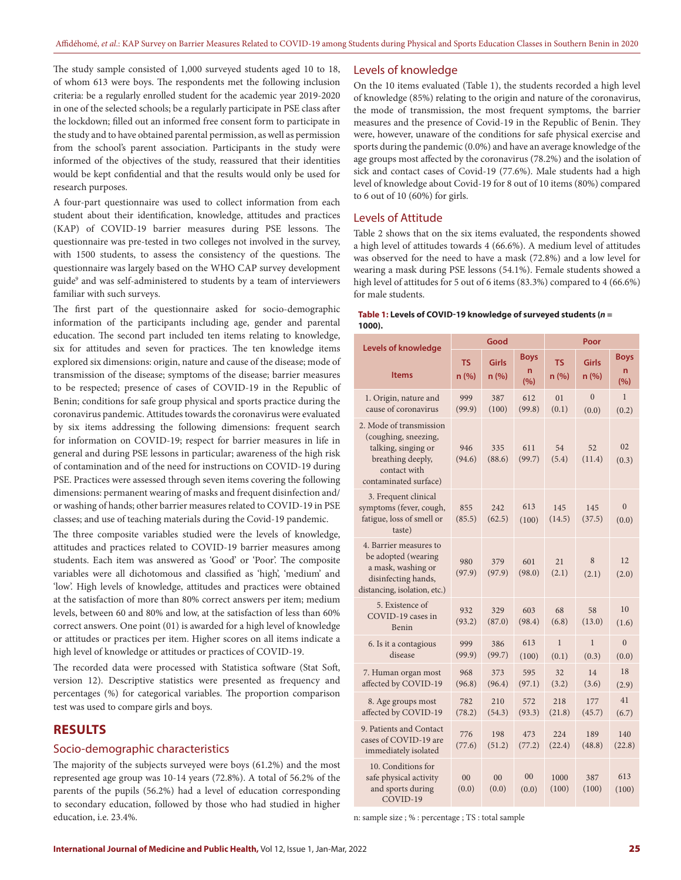The study sample consisted of 1,000 surveyed students aged 10 to 18, of whom 613 were boys. The respondents met the following inclusion criteria: be a regularly enrolled student for the academic year 2019-2020 in one of the selected schools; be a regularly participate in PSE class after the lockdown; filled out an informed free consent form to participate in the study and to have obtained parental permission, as well as permission from the school's parent association. Participants in the study were informed of the objectives of the study, reassured that their identities would be kept confidential and that the results would only be used for research purposes.

A four-part questionnaire was used to collect information from each student about their identification, knowledge, attitudes and practices (KAP) of COVID-19 barrier measures during PSE lessons. The questionnaire was pre-tested in two colleges not involved in the survey, with 1500 students, to assess the consistency of the questions. The questionnaire was largely based on the WHO CAP survey development guide9 and was self-administered to students by a team of interviewers familiar with such surveys.

The first part of the questionnaire asked for socio-demographic information of the participants including age, gender and parental education. The second part included ten items relating to knowledge, six for attitudes and seven for practices. The ten knowledge items explored six dimensions: origin, nature and cause of the disease; mode of transmission of the disease; symptoms of the disease; barrier measures to be respected; presence of cases of COVID-19 in the Republic of Benin; conditions for safe group physical and sports practice during the coronavirus pandemic. Attitudes towards the coronavirus were evaluated by six items addressing the following dimensions: frequent search for information on COVID-19; respect for barrier measures in life in general and during PSE lessons in particular; awareness of the high risk of contamination and of the need for instructions on COVID-19 during PSE. Practices were assessed through seven items covering the following dimensions: permanent wearing of masks and frequent disinfection and/ or washing of hands; other barrier measures related to COVID-19 in PSE classes; and use of teaching materials during the Covid-19 pandemic.

The three composite variables studied were the levels of knowledge, attitudes and practices related to COVID-19 barrier measures among students. Each item was answered as 'Good' or 'Poor'. The composite variables were all dichotomous and classified as 'high', 'medium' and 'low'. High levels of knowledge, attitudes and practices were obtained at the satisfaction of more than 80% correct answers per item; medium levels, between 60 and 80% and low, at the satisfaction of less than 60% correct answers. One point (01) is awarded for a high level of knowledge or attitudes or practices per item. Higher scores on all items indicate a high level of knowledge or attitudes or practices of COVID-19.

The recorded data were processed with Statistica software (Stat Soft, version 12). Descriptive statistics were presented as frequency and percentages (%) for categorical variables. The proportion comparison test was used to compare girls and boys.

## **RESULTS**

#### Socio-demographic characteristics

The majority of the subjects surveyed were boys (61.2%) and the most represented age group was 10-14 years (72.8%). A total of 56.2% of the parents of the pupils (56.2%) had a level of education corresponding to secondary education, followed by those who had studied in higher education, i.e. 23.4%.

#### Levels of knowledge

On the 10 items evaluated (Table 1), the students recorded a high level of knowledge (85%) relating to the origin and nature of the coronavirus, the mode of transmission, the most frequent symptoms, the barrier measures and the presence of Covid-19 in the Republic of Benin. They were, however, unaware of the conditions for safe physical exercise and sports during the pandemic (0.0%) and have an average knowledge of the age groups most affected by the coronavirus (78.2%) and the isolation of sick and contact cases of Covid-19 (77.6%). Male students had a high level of knowledge about Covid-19 for 8 out of 10 items (80%) compared to 6 out of 10 (60%) for girls.

#### Levels of Attitude

Table 2 shows that on the six items evaluated, the respondents showed a high level of attitudes towards 4 (66.6%). A medium level of attitudes was observed for the need to have a mask (72.8%) and a low level for wearing a mask during PSE lessons (54.1%). Female students showed a high level of attitudes for 5 out of 6 items (83.3%) compared to 4 (66.6%) for male students.

#### **Table 1: Levels of COVID-19 knowledge of surveyed students (***n* **= 1000).**

| <b>Levels of knowledge</b>                                                                                                           | Good          |                         |                          | Poor                  |                         |                                      |  |
|--------------------------------------------------------------------------------------------------------------------------------------|---------------|-------------------------|--------------------------|-----------------------|-------------------------|--------------------------------------|--|
| <b>Items</b>                                                                                                                         | TS<br>n(%)    | Girls<br>n(%)           | <b>Boys</b><br>n.<br>(%) | <b>TS</b><br>n (%)    | Girls<br>n(%)           | <b>Boys</b><br>$\overline{ }$<br>(%) |  |
| 1. Origin, nature and<br>cause of coronavirus                                                                                        | 999<br>(99.9) | 387<br>(100)            | 612<br>(99.8)            | 01<br>(0.1)           | $\overline{0}$<br>(0.0) | 1<br>(0.2)                           |  |
| 2. Mode of transmission<br>(coughing, sneezing,<br>talking, singing or<br>breathing deeply,<br>contact with<br>contaminated surface) | 946<br>(94.6) | 335<br>(88.6)           | 611<br>(99.7)            | 54<br>(5.4)           | 52<br>(11.4)            | 02<br>(0.3)                          |  |
| 3. Frequent clinical<br>symptoms (fever, cough,<br>fatigue, loss of smell or<br>taste)                                               | 855<br>(85.5) | 242<br>(62.5)           | 613<br>(100)             | 145<br>(14.5)         | 145<br>(37.5)           | $\overline{0}$<br>(0.0)              |  |
| 4. Barrier measures to<br>be adopted (wearing<br>a mask, washing or<br>disinfecting hands,<br>distancing, isolation, etc.)           | 980<br>(97.9) | 379<br>(97.9)           | 601<br>(98.0)            | 21<br>(2.1)           | 8<br>(2.1)              | 12<br>(2.0)                          |  |
| 5. Existence of<br>COVID-19 cases in<br>Benin                                                                                        | 932<br>(93.2) | 329<br>(87.0)           | 603<br>(98.4)            | 68<br>(6.8)           | 58<br>(13.0)            | 10<br>(1.6)                          |  |
| 6. Is it a contagious<br>disease                                                                                                     | 999<br>(99.9) | 386<br>(99.7)           | 613<br>(100)             | $\mathbf{1}$<br>(0.1) | $\mathbf{1}$<br>(0.3)   | $\theta$<br>(0.0)                    |  |
| 7. Human organ most<br>affected by COVID-19                                                                                          | 968<br>(96.8) | 373<br>(96.4)           | 595<br>(97.1)            | 32<br>(3.2)           | 14<br>(3.6)             | 18<br>(2.9)                          |  |
| 8. Age groups most<br>affected by COVID-19                                                                                           | 782<br>(78.2) | 210<br>(54.3)           | 572<br>(93.3)            | 218<br>(21.8)         | 177<br>(45.7)           | 41<br>(6.7)                          |  |
| 9. Patients and Contact<br>cases of COVID-19 are<br>immediately isolated                                                             | 776<br>(77.6) | 198<br>(51.2)           | 473<br>(77.2)            | 224<br>(22.4)         | 189<br>(48.8)           | 140<br>(22.8)                        |  |
| 10. Conditions for<br>safe physical activity<br>and sports during<br>COVID-19                                                        | 00<br>(0.0)   | 0 <sup>0</sup><br>(0.0) | 00<br>(0.0)              | 1000<br>(100)         | 387<br>(100)            | 613<br>(100)                         |  |

n: sample size ; % : percentage ; TS : total sample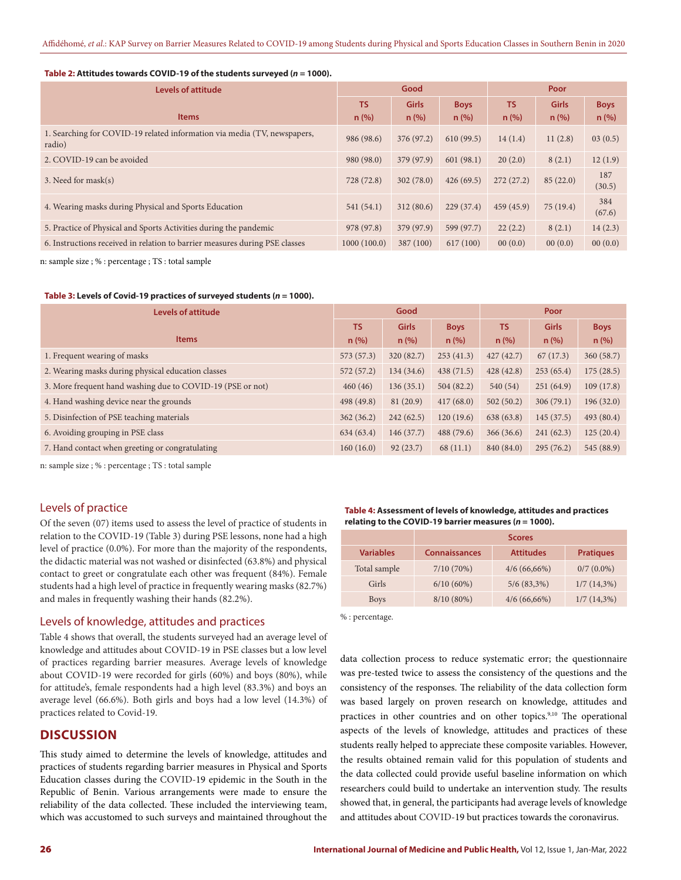#### **Table 2: Attitudes towards COVID-19 of the students surveyed (***n* **= 1000).**

| Levels of attitude                                                                 |             | Good         |             |           | Poor         |               |  |
|------------------------------------------------------------------------------------|-------------|--------------|-------------|-----------|--------------|---------------|--|
|                                                                                    | <b>TS</b>   | <b>Girls</b> | <b>Boys</b> | <b>TS</b> | <b>Girls</b> | <b>Boys</b>   |  |
| <b>Items</b>                                                                       | n(%)        | n(%)         | n (%)       | n (%)     | n(%)         | $n$ (%)       |  |
| 1. Searching for COVID-19 related information via media (TV, newspapers,<br>radio) | 986 (98.6)  | 376 (97.2)   | 610(99.5)   | 14(1.4)   | 11(2.8)      | 03(0.5)       |  |
| 2. COVID-19 can be avoided                                                         | 980 (98.0)  | 379 (97.9)   | 601(98.1)   | 20(2.0)   | 8(2.1)       | 12(1.9)       |  |
| 3. Need for mask(s)                                                                | 728 (72.8)  | 302(78.0)    | 426(69.5)   | 272(27.2) | 85(22.0)     | 187<br>(30.5) |  |
| 4. Wearing masks during Physical and Sports Education                              | 541(54.1)   | 312(80.6)    | 229(37.4)   | 459(45.9) | 75(19.4)     | 384<br>(67.6) |  |
| 5. Practice of Physical and Sports Activities during the pandemic                  | 978 (97.8)  | 379 (97.9)   | 599 (97.7)  | 22(2.2)   | 8(2.1)       | 14(2.3)       |  |
| 6. Instructions received in relation to barrier measures during PSE classes        | 1000(100.0) | 387 (100)    | 617(100)    | 00(0.0)   | 00(0.0)      | 00(0.0)       |  |

n: sample size ; % : percentage ; TS : total sample

#### **Table 3: Levels of Covid-19 practices of surveyed students (***n* **= 1000).**

| <b>Levels of attitude</b>                                  |            | Good         |             |            | Poor         |             |  |
|------------------------------------------------------------|------------|--------------|-------------|------------|--------------|-------------|--|
|                                                            | <b>TS</b>  | <b>Girls</b> | <b>Boys</b> | <b>TS</b>  | <b>Girls</b> | <b>Boys</b> |  |
| <b>Items</b>                                               | n (%)      | n (%)        | n (%)       | n (%)      | n (%)        | n (%)       |  |
| 1. Frequent wearing of masks                               | 573(57.3)  | 320(82.7)    | 253(41.3)   | 427(42.7)  | 67(17.3)     | 360(58.7)   |  |
| 2. Wearing masks during physical education classes         | 572(57.2)  | 134(34.6)    | 438(71.5)   | 428(42.8)  | 253(65.4)    | 175(28.5)   |  |
| 3. More frequent hand washing due to COVID-19 (PSE or not) | 460(46)    | 136(35.1)    | 504(82.2)   | 540 (54)   | 251(64.9)    | 109(17.8)   |  |
| 4. Hand washing device near the grounds                    | 498 (49.8) | 81(20.9)     | 417(68.0)   | 502(50.2)  | 306(79.1)    | 196(32.0)   |  |
| 5. Disinfection of PSE teaching materials                  | 362(36.2)  | 242(62.5)    | 120(19.6)   | 638 (63.8) | 145(37.5)    | 493 (80.4)  |  |
| 6. Avoiding grouping in PSE class                          | 634 (63.4) | 146(37.7)    | 488(79.6)   | 366(36.6)  | 241(62.3)    | 125(20.4)   |  |
| 7. Hand contact when greeting or congratulating            | 160(16.0)  | 92(23.7)     | 68(11.1)    | 840 (84.0) | 295(76.2)    | 545 (88.9)  |  |

n: sample size ; % : percentage ; TS : total sample

## Levels of practice

Of the seven (07) items used to assess the level of practice of students in relation to the COVID-19 (Table 3) during PSE lessons, none had a high level of practice (0.0%). For more than the majority of the respondents, the didactic material was not washed or disinfected (63.8%) and physical contact to greet or congratulate each other was frequent (84%). Female students had a high level of practice in frequently wearing masks (82.7%) and males in frequently washing their hands (82.2%).

### Levels of knowledge, attitudes and practices

Table 4 shows that overall, the students surveyed had an average level of knowledge and attitudes about COVID-19 in PSE classes but a low level of practices regarding barrier measures. Average levels of knowledge about COVID-19 were recorded for girls (60%) and boys (80%), while for attitude's, female respondents had a high level (83.3%) and boys an average level (66.6%). Both girls and boys had a low level (14.3%) of practices related to Covid-19.

# **DISCUSSION**

This study aimed to determine the levels of knowledge, attitudes and practices of students regarding barrier measures in Physical and Sports Education classes during the COVID-19 epidemic in the South in the Republic of Benin. Various arrangements were made to ensure the reliability of the data collected. These included the interviewing team, which was accustomed to such surveys and maintained throughout the

**Table 4: Assessment of levels of knowledge, attitudes and practices relating to the COVID-19 barrier measures (***n* **= 1000).**

|                  | <b>Scores</b>        |                  |                  |  |  |  |
|------------------|----------------------|------------------|------------------|--|--|--|
| <b>Variables</b> | <b>Connaissances</b> | <b>Attitudes</b> | <b>Pratiques</b> |  |  |  |
| Total sample     | 7/10(70%)            | $4/6(66,66\%)$   | $0/7(0.0\%)$     |  |  |  |
| Girls            | $6/10(60\%)$         | $5/6(83,3\%)$    | $1/7(14,3\%)$    |  |  |  |
| <b>Boys</b>      | $8/10(80\%)$         | $4/6(66,66\%)$   | $1/7(14,3\%)$    |  |  |  |

% : percentage.

data collection process to reduce systematic error; the questionnaire was pre-tested twice to assess the consistency of the questions and the consistency of the responses. The reliability of the data collection form was based largely on proven research on knowledge, attitudes and practices in other countries and on other topics.<sup>9,10</sup> The operational aspects of the levels of knowledge, attitudes and practices of these students really helped to appreciate these composite variables. However, the results obtained remain valid for this population of students and the data collected could provide useful baseline information on which researchers could build to undertake an intervention study. The results showed that, in general, the participants had average levels of knowledge and attitudes about COVID-19 but practices towards the coronavirus.